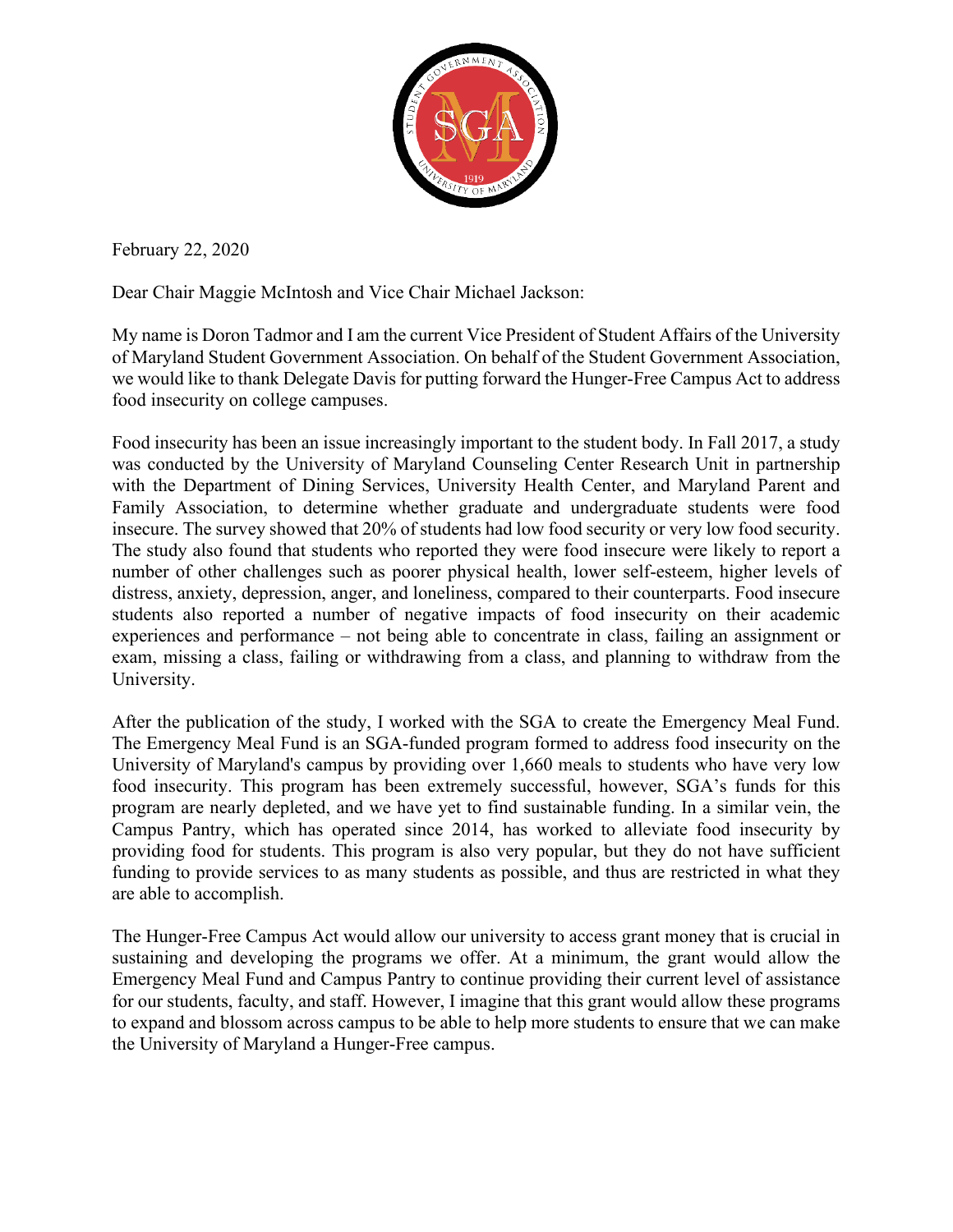

February 22, 2020

Dear Chair Maggie McIntosh and Vice Chair Michael Jackson:

My name is Doron Tadmor and I am the current Vice President of Student Affairs of the University of Maryland Student Government Association. On behalf of the Student Government Association, we would like to thank Delegate Davis for putting forward the Hunger-Free Campus Act to address food insecurity on college campuses.

Food insecurity has been an issue increasingly important to the student body. In Fall 2017, a study was conducted by the University of Maryland Counseling Center Research Unit in partnership with the Department of Dining Services, University Health Center, and Maryland Parent and Family Association, to determine whether graduate and undergraduate students were food insecure. The survey showed that 20% of students had low food security or very low food security. The study also found that students who reported they were food insecure were likely to report a number of other challenges such as poorer physical health, lower self-esteem, higher levels of distress, anxiety, depression, anger, and loneliness, compared to their counterparts. Food insecure students also reported a number of negative impacts of food insecurity on their academic experiences and performance – not being able to concentrate in class, failing an assignment or exam, missing a class, failing or withdrawing from a class, and planning to withdraw from the University.

After the publication of the study, I worked with the SGA to create the Emergency Meal Fund. The Emergency Meal Fund is an SGA-funded program formed to address food insecurity on the University of Maryland's campus by providing over 1,660 meals to students who have very low food insecurity. This program has been extremely successful, however, SGA's funds for this program are nearly depleted, and we have yet to find sustainable funding. In a similar vein, the Campus Pantry, which has operated since 2014, has worked to alleviate food insecurity by providing food for students. This program is also very popular, but they do not have sufficient funding to provide services to as many students as possible, and thus are restricted in what they are able to accomplish.

The Hunger-Free Campus Act would allow our university to access grant money that is crucial in sustaining and developing the programs we offer. At a minimum, the grant would allow the Emergency Meal Fund and Campus Pantry to continue providing their current level of assistance for our students, faculty, and staff. However, I imagine that this grant would allow these programs to expand and blossom across campus to be able to help more students to ensure that we can make the University of Maryland a Hunger-Free campus.